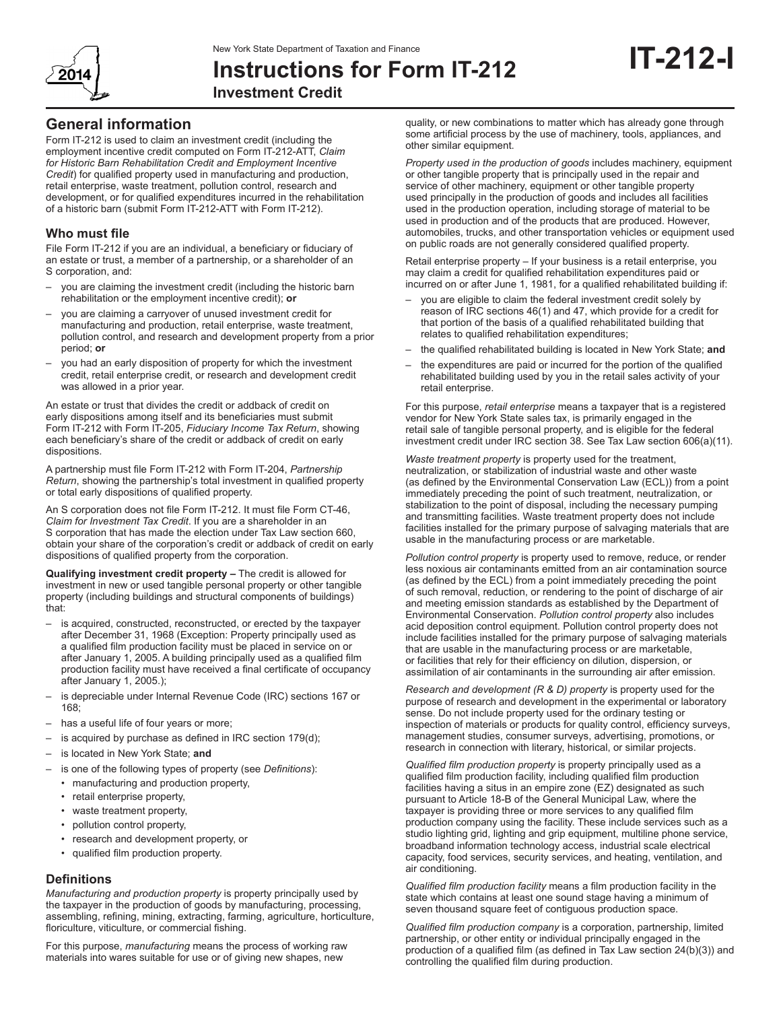

# **Instructions for Form IT-212 Investment Credit**

# **General information**

Form IT‑212 is used to claim an investment credit (including the employment incentive credit computed on Form IT-212-ATT, *Claim for Historic Barn Rehabilitation Credit and Employment Incentive Credit*) for qualified property used in manufacturing and production, retail enterprise, waste treatment, pollution control, research and development, or for qualified expenditures incurred in the rehabilitation of a historic barn (submit Form IT‑212‑ATT with Form IT‑212).

# **Who must file**

File Form IT‑212 if you are an individual, a beneficiary or fiduciary of an estate or trust, a member of a partnership, or a shareholder of an S corporation, and:

- you are claiming the investment credit (including the historic barn rehabilitation or the employment incentive credit); **or**
- you are claiming a carryover of unused investment credit for manufacturing and production, retail enterprise, waste treatment, pollution control, and research and development property from a prior period; **or**
- you had an early disposition of property for which the investment credit, retail enterprise credit, or research and development credit was allowed in a prior year.

An estate or trust that divides the credit or addback of credit on early dispositions among itself and its beneficiaries must submit Form IT‑212 with Form IT‑205, *Fiduciary Income Tax Return*, showing each beneficiary's share of the credit or addback of credit on early dispositions.

A partnership must file Form IT‑212 with Form IT‑204, *Partnership Return*, showing the partnership's total investment in qualified property or total early dispositions of qualified property.

An S corporation does not file Form IT-212. It must file Form CT-46, *Claim for Investment Tax Credit*. If you are a shareholder in an S corporation that has made the election under Tax Law section 660, obtain your share of the corporation's credit or addback of credit on early dispositions of qualified property from the corporation.

**Qualifying investment credit property –** The credit is allowed for investment in new or used tangible personal property or other tangible property (including buildings and structural components of buildings) that:

- is acquired, constructed, reconstructed, or erected by the taxpayer after December 31, 1968 (Exception: Property principally used as a qualified film production facility must be placed in service on or after January 1, 2005. A building principally used as a qualified film production facility must have received a final certificate of occupancy after January 1, 2005.);
- is depreciable under Internal Revenue Code (IRC) sections 167 or 168;
- has a useful life of four years or more;
- is acquired by purchase as defined in IRC section 179(d);
- is located in New York State; and
- is one of the following types of property (see *Definitions*):
	- manufacturing and production property,
	- retail enterprise property,
	- waste treatment property,
	- pollution control property,
	- research and development property, or
	- qualified film production property.

# **Definitions**

*Manufacturing and production property* is property principally used by the taxpayer in the production of goods by manufacturing, processing, assembling, refining, mining, extracting, farming, agriculture, horticulture, floriculture, viticulture, or commercial fishing.

For this purpose, *manufacturing* means the process of working raw materials into wares suitable for use or of giving new shapes, new

quality, or new combinations to matter which has already gone through some artificial process by the use of machinery, tools, appliances, and other similar equipment.

*Property used in the production of goods* includes machinery, equipment or other tangible property that is principally used in the repair and service of other machinery, equipment or other tangible property used principally in the production of goods and includes all facilities used in the production operation, including storage of material to be used in production and of the products that are produced. However, automobiles, trucks, and other transportation vehicles or equipment used on public roads are not generally considered qualified property.

Retail enterprise property – If your business is a retail enterprise, you may claim a credit for qualified rehabilitation expenditures paid or incurred on or after June 1, 1981, for a qualified rehabilitated building if:

- you are eligible to claim the federal investment credit solely by reason of IRC sections 46(1) and 47, which provide for a credit for that portion of the basis of a qualified rehabilitated building that relates to qualified rehabilitation expenditures;
- the qualified rehabilitated building is located in New York State; **and**
- the expenditures are paid or incurred for the portion of the qualified rehabilitated building used by you in the retail sales activity of your retail enterprise.

For this purpose, *retail enterprise* means a taxpayer that is a registered vendor for New York State sales tax, is primarily engaged in the retail sale of tangible personal property, and is eligible for the federal investment credit under IRC section 38. See Tax Law section 606(a)(11).

*Waste treatment property* is property used for the treatment, neutralization, or stabilization of industrial waste and other waste (as defined by the Environmental Conservation Law (ECL)) from a point immediately preceding the point of such treatment, neutralization, or stabilization to the point of disposal, including the necessary pumping and transmitting facilities. Waste treatment property does not include facilities installed for the primary purpose of salvaging materials that are usable in the manufacturing process or are marketable.

*Pollution control property* is property used to remove, reduce, or render less noxious air contaminants emitted from an air contamination source (as defined by the ECL) from a point immediately preceding the point of such removal, reduction, or rendering to the point of discharge of air and meeting emission standards as established by the Department of Environmental Conservation. *Pollution control property* also includes acid deposition control equipment. Pollution control property does not include facilities installed for the primary purpose of salvaging materials that are usable in the manufacturing process or are marketable, or facilities that rely for their efficiency on dilution, dispersion, or assimilation of air contaminants in the surrounding air after emission.

*Research and development (R & D) property* is property used for the purpose of research and development in the experimental or laboratory sense. Do not include property used for the ordinary testing or inspection of materials or products for quality control, efficiency surveys, management studies, consumer surveys, advertising, promotions, or research in connection with literary, historical, or similar projects.

*Qualified film production property* is property principally used as a qualified film production facility, including qualified film production facilities having a situs in an empire zone (EZ) designated as such pursuant to Article 18-B of the General Municipal Law, where the taxpayer is providing three or more services to any qualified film production company using the facility. These include services such as a studio lighting grid, lighting and grip equipment, multiline phone service, broadband information technology access, industrial scale electrical capacity, food services, security services, and heating, ventilation, and air conditioning.

*Qualified film production facility* means a film production facility in the state which contains at least one sound stage having a minimum of seven thousand square feet of contiguous production space.

*Qualified film production company* is a corporation, partnership, limited partnership, or other entity or individual principally engaged in the production of a qualified film (as defined in Tax Law section 24(b)(3)) and controlling the qualified film during production.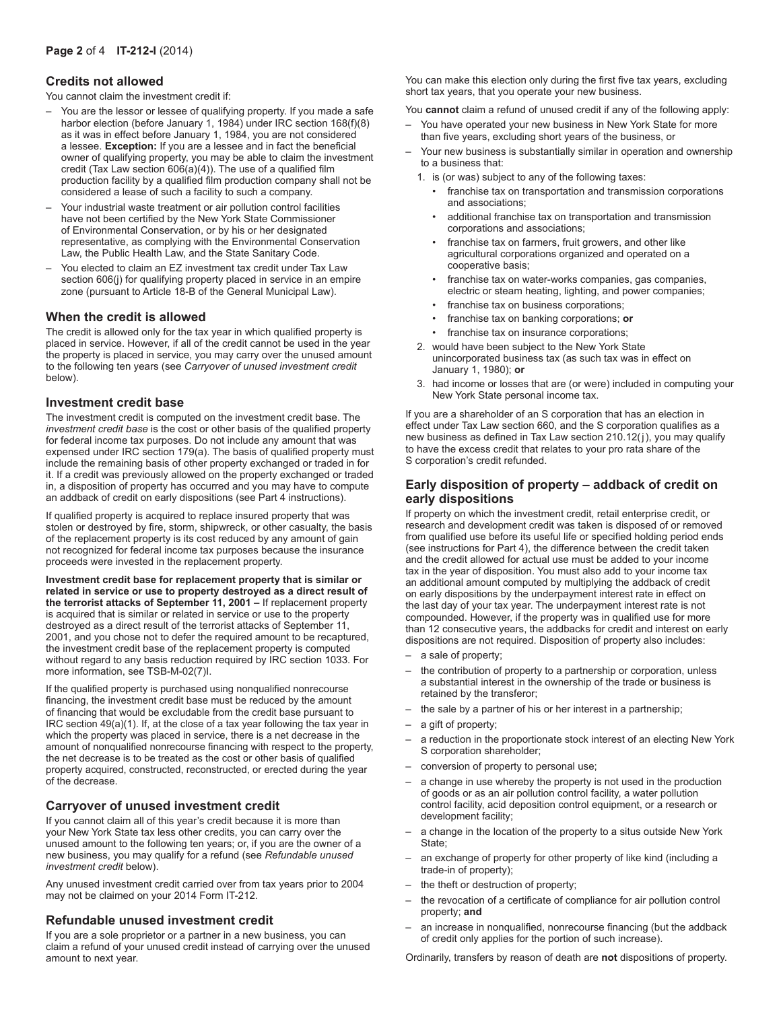# **Credits not allowed**

You cannot claim the investment credit if:

- You are the lessor or lessee of qualifying property. If you made a safe harbor election (before January 1, 1984) under IRC section 168(f)(8) as it was in effect before January 1, 1984, you are not considered a lessee. **Exception:** If you are a lessee and in fact the beneficial owner of qualifying property, you may be able to claim the investment credit (Tax Law section  $606(a)(4)$ ). The use of a qualified film production facility by a qualified film production company shall not be considered a lease of such a facility to such a company.
- Your industrial waste treatment or air pollution control facilities have not been certified by the New York State Commissioner of Environmental Conservation, or by his or her designated representative, as complying with the Environmental Conservation Law, the Public Health Law, and the State Sanitary Code.
- You elected to claim an EZ investment tax credit under Tax Law section 606(i) for qualifying property placed in service in an empire zone (pursuant to Article 18‑B of the General Municipal Law).

#### **When the credit is allowed**

The credit is allowed only for the tax year in which qualified property is placed in service. However, if all of the credit cannot be used in the year the property is placed in service, you may carry over the unused amount to the following ten years (see *Carryover of unused investment credit* below).

#### **Investment credit base**

The investment credit is computed on the investment credit base. The *investment credit base* is the cost or other basis of the qualified property for federal income tax purposes. Do not include any amount that was expensed under IRC section 179(a). The basis of qualified property must include the remaining basis of other property exchanged or traded in for it. If a credit was previously allowed on the property exchanged or traded in, a disposition of property has occurred and you may have to compute an addback of credit on early dispositions (see Part 4 instructions).

If qualified property is acquired to replace insured property that was stolen or destroyed by fire, storm, shipwreck, or other casualty, the basis of the replacement property is its cost reduced by any amount of gain not recognized for federal income tax purposes because the insurance proceeds were invested in the replacement property.

**Investment credit base for replacement property that is similar or related in service or use to property destroyed as a direct result of the terrorist attacks of September 11, 2001 –** If replacement property is acquired that is similar or related in service or use to the property destroyed as a direct result of the terrorist attacks of September 11, 2001, and you chose not to defer the required amount to be recaptured, the investment credit base of the replacement property is computed without regard to any basis reduction required by IRC section 1033. For more information, see TSB-M-02(7)I.

If the qualified property is purchased using nonqualified nonrecourse financing, the investment credit base must be reduced by the amount of financing that would be excludable from the credit base pursuant to IRC section 49(a)(1). If, at the close of a tax year following the tax year in which the property was placed in service, there is a net decrease in the amount of nonqualified nonrecourse financing with respect to the property, the net decrease is to be treated as the cost or other basis of qualified property acquired, constructed, reconstructed, or erected during the year of the decrease.

## **Carryover of unused investment credit**

If you cannot claim all of this year's credit because it is more than your New York State tax less other credits, you can carry over the unused amount to the following ten years; or, if you are the owner of a new business, you may qualify for a refund (see *Refundable unused investment credit* below).

Any unused investment credit carried over from tax years prior to 2004 may not be claimed on your 2014 Form IT‑212.

#### **Refundable unused investment credit**

If you are a sole proprietor or a partner in a new business, you can claim a refund of your unused credit instead of carrying over the unused amount to next year.

You can make this election only during the first five tax years, excluding short tax years, that you operate your new business.

You **cannot** claim a refund of unused credit if any of the following apply:

- You have operated your new business in New York State for more than five years, excluding short years of the business, or
- Your new business is substantially similar in operation and ownership to a business that:
	- 1. is (or was) subject to any of the following taxes:
		- franchise tax on transportation and transmission corporations and associations;
		- additional franchise tax on transportation and transmission corporations and associations;
		- franchise tax on farmers, fruit growers, and other like agricultural corporations organized and operated on a cooperative basis;
		- franchise tax on water-works companies, gas companies, electric or steam heating, lighting, and power companies;
		- franchise tax on business corporations;
		- franchise tax on banking corporations; **or**
		- franchise tax on insurance corporations;
	- 2. would have been subject to the New York State unincorporated business tax (as such tax was in effect on January 1, 1980); **or**
	- 3. had income or losses that are (or were) included in computing your New York State personal income tax.

If you are a shareholder of an S corporation that has an election in effect under Tax Law section 660, and the S corporation qualifies as a new business as defined in Tax Law section 210.12(j), you may qualify to have the excess credit that relates to your pro rata share of the S corporation's credit refunded.

#### **Early disposition of property – addback of credit on early dispositions**

If property on which the investment credit, retail enterprise credit, or research and development credit was taken is disposed of or removed from qualified use before its useful life or specified holding period ends (see instructions for Part 4), the difference between the credit taken and the credit allowed for actual use must be added to your income tax in the year of disposition. You must also add to your income tax an additional amount computed by multiplying the addback of credit on early dispositions by the underpayment interest rate in effect on the last day of your tax year. The underpayment interest rate is not compounded. However, if the property was in qualified use for more than 12 consecutive years, the addbacks for credit and interest on early dispositions are not required. Disposition of property also includes:

- a sale of property;
- the contribution of property to a partnership or corporation, unless a substantial interest in the ownership of the trade or business is retained by the transferor;
- the sale by a partner of his or her interest in a partnership;
- a gift of property;
- a reduction in the proportionate stock interest of an electing New York S corporation shareholder;
- conversion of property to personal use;
- a change in use whereby the property is not used in the production of goods or as an air pollution control facility, a water pollution control facility, acid deposition control equipment, or a research or development facility;
- a change in the location of the property to a situs outside New York State;
- an exchange of property for other property of like kind (including a trade-in of property);
- the theft or destruction of property;
- the revocation of a certificate of compliance for air pollution control property; **and**
- an increase in nonqualified, nonrecourse financing (but the addback of credit only applies for the portion of such increase).

Ordinarily, transfers by reason of death are **not** dispositions of property.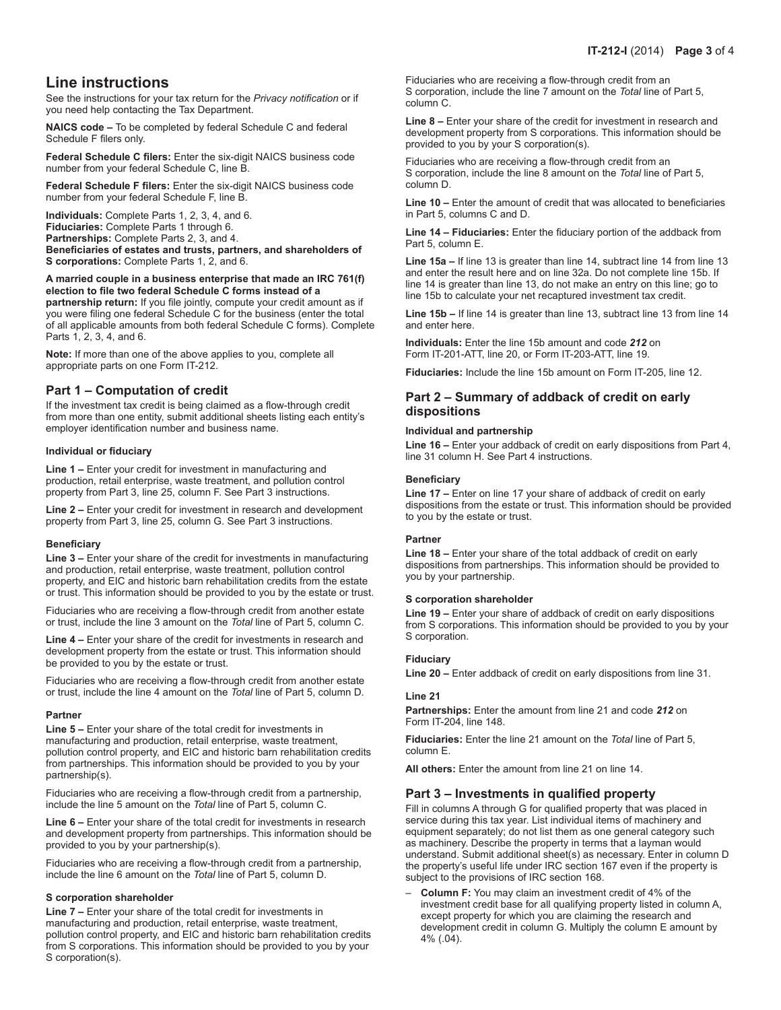# **Line instructions**

See the instructions for your tax return for the *Privacy notification* or if you need help contacting the Tax Department.

**NAICS code –** To be completed by federal Schedule C and federal Schedule F filers only.

**Federal Schedule C filers:** Enter the six-digit NAICS business code number from your federal Schedule C, line B.

**Federal Schedule F filers:** Enter the six-digit NAICS business code number from your federal Schedule F, line B.

**Individuals:** Complete Parts 1, 2, 3, 4, and 6. **Fiduciaries:** Complete Parts 1 through 6. **Partnerships:** Complete Parts 2, 3, and 4. **Beneficiaries of estates and trusts, partners, and shareholders of S corporations:** Complete Parts 1, 2, and 6.

#### **A married couple in a business enterprise that made an IRC 761(f) election to file two federal Schedule C forms instead of a partnership return:** If you file jointly, compute your credit amount as if you were filing one federal Schedule C for the business (enter the total of all applicable amounts from both federal Schedule C forms). Complete

**Note:** If more than one of the above applies to you, complete all appropriate parts on one Form IT-212.

# **Part 1 – Computation of credit**

If the investment tax credit is being claimed as a flow-through credit from more than one entity, submit additional sheets listing each entity's employer identification number and business name.

#### **Individual or fiduciary**

Parts 1, 2, 3, 4, and 6.

**Line 1 –** Enter your credit for investment in manufacturing and production, retail enterprise, waste treatment, and pollution control property from Part 3, line 25, column F. See Part 3 instructions.

**Line 2 –** Enter your credit for investment in research and development property from Part 3, line 25, column G. See Part 3 instructions.

## **Beneficiary**

**Line 3 –** Enter your share of the credit for investments in manufacturing and production, retail enterprise, waste treatment, pollution control property, and EIC and historic barn rehabilitation credits from the estate or trust. This information should be provided to you by the estate or trust.

Fiduciaries who are receiving a flow-through credit from another estate or trust, include the line 3 amount on the *Total* line of Part 5, column C.

**Line 4 –** Enter your share of the credit for investments in research and development property from the estate or trust. This information should be provided to you by the estate or trust.

Fiduciaries who are receiving a flow-through credit from another estate or trust, include the line 4 amount on the *Total* line of Part 5, column D.

#### **Partner**

**Line 5 –** Enter your share of the total credit for investments in manufacturing and production, retail enterprise, waste treatment, pollution control property, and EIC and historic barn rehabilitation credits from partnerships. This information should be provided to you by your partnership(s).

Fiduciaries who are receiving a flow-through credit from a partnership, include the line 5 amount on the *Total* line of Part 5, column C.

**Line 6 –** Enter your share of the total credit for investments in research and development property from partnerships. This information should be provided to you by your partnership(s).

Fiduciaries who are receiving a flow-through credit from a partnership, include the line 6 amount on the *Total* line of Part 5, column D.

#### **S corporation shareholder**

**Line 7 –** Enter your share of the total credit for investments in manufacturing and production, retail enterprise, waste treatment, pollution control property, and EIC and historic barn rehabilitation credits from S corporations. This information should be provided to you by your S corporation(s).

Fiduciaries who are receiving a flow-through credit from an S corporation, include the line 7 amount on the *Total* line of Part 5, column C.

**Line 8 –** Enter your share of the credit for investment in research and development property from S corporations. This information should be provided to you by your S corporation(s).

Fiduciaries who are receiving a flow-through credit from an S corporation, include the line 8 amount on the *Total* line of Part 5, column D.

**Line 10 –** Enter the amount of credit that was allocated to beneficiaries in Part 5, columns C and D.

**Line 14 – Fiduciaries:** Enter the fiduciary portion of the addback from Part 5, column E.

**Line 15a –** If line 13 is greater than line 14, subtract line 14 from line 13 and enter the result here and on line 32a. Do not complete line 15b. If line 14 is greater than line 13, do not make an entry on this line; go to line 15b to calculate your net recaptured investment tax credit.

**Line 15b –** If line 14 is greater than line 13, subtract line 13 from line 14 and enter here.

**Individuals:** Enter the line 15b amount and code *212* on Form IT-201-ATT, line 20, or Form IT-203-ATT, line 19.

**Fiduciaries:** Include the line 15b amount on Form IT-205, line 12.

# **Part 2 – Summary of addback of credit on early dispositions**

#### **Individual and partnership**

**Line 16 –** Enter your addback of credit on early dispositions from Part 4, line 31 column H. See Part 4 instructions.

#### **Beneficiary**

**Line 17 –** Enter on line 17 your share of addback of credit on early dispositions from the estate or trust. This information should be provided to you by the estate or trust.

#### **Partner**

**Line 18 –** Enter your share of the total addback of credit on early dispositions from partnerships. This information should be provided to you by your partnership.

#### **S corporation shareholder**

**Line 19 –** Enter your share of addback of credit on early dispositions from S corporations. This information should be provided to you by your S corporation.

# **Fiduciary**

**Line 20 –** Enter addback of credit on early dispositions from line 31.

#### **Line 21**

**Partnerships:** Enter the amount from line 21 and code *212* on Form IT-204, line 148.

**Fiduciaries:** Enter the line 21 amount on the *Total* line of Part 5, column E.

**All others:** Enter the amount from line 21 on line 14.

## **Part 3 – Investments in qualified property**

Fill in columns A through G for qualified property that was placed in service during this tax year. List individual items of machinery and equipment separately; do not list them as one general category such as machinery. Describe the property in terms that a layman would understand. Submit additional sheet(s) as necessary. Enter in column D the property's useful life under IRC section 167 even if the property is subject to the provisions of IRC section 168.

– **Column F:** You may claim an investment credit of 4% of the investment credit base for all qualifying property listed in column A, except property for which you are claiming the research and development credit in column G. Multiply the column E amount by 4% (.04).